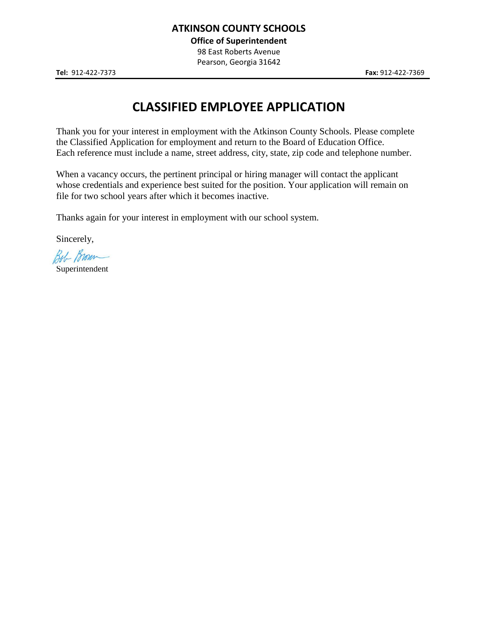**Office of Superintendent**

98 East Roberts Avenue Pearson, Georgia 31642

# **CLASSIFIED EMPLOYEE APPLICATION**

Thank you for your interest in employment with the Atkinson County Schools. Please complete the Classified Application for employment and return to the Board of Education Office. Each reference must include a name, street address, city, state, zip code and telephone number.

When a vacancy occurs, the pertinent principal or hiring manager will contact the applicant whose credentials and experience best suited for the position. Your application will remain on file for two school years after which it becomes inactive.

Thanks again for your interest in employment with our school system.

Sincerely,

Bob Brown

Superintendent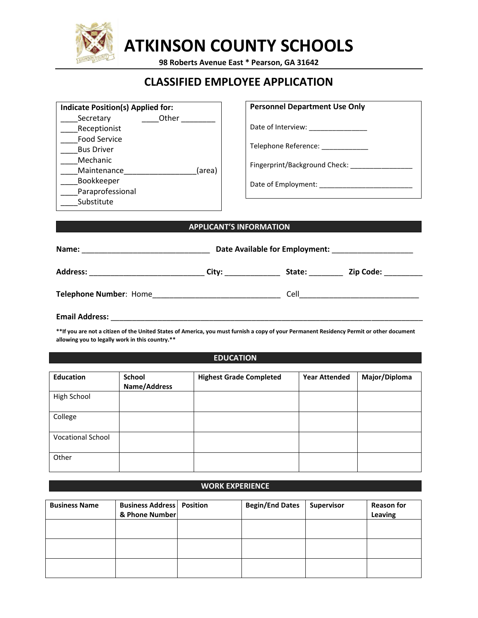

# **ATKINSON COUNTY SCHOOLS**

**98 Roberts Avenue East \* Pearson, GA 31642**

# **CLASSIFIED EMPLOYEE APPLICATION**

| Indicate Position(s) Applied for: |        |  |
|-----------------------------------|--------|--|
| Secretary                         | Other  |  |
| Receptionist                      |        |  |
| <b>Food Service</b>               |        |  |
| <b>Bus Driver</b>                 |        |  |
| Mechanic                          |        |  |
| Maintenance                       | (area) |  |
| Bookkeeper                        |        |  |
| Paraprofessional                  |        |  |
| Substitute                        |        |  |

## **Personnel Department Use Only**

Date of Interview: \_\_\_\_\_\_\_\_\_\_\_\_\_\_\_

Telephone Reference: \_\_\_\_\_\_\_\_\_\_\_\_

Fingerprint/Background Check: \_\_\_\_\_\_\_\_\_\_\_\_\_

Date of Employment: \_\_\_\_\_\_\_\_\_\_\_\_\_\_\_\_\_\_\_\_\_\_\_\_

### **APPLICANT'S INFORMATION**

| Name:                                                                                                                                                                                                                         | Date Available for Employment:                                                                                 |        |           |  |
|-------------------------------------------------------------------------------------------------------------------------------------------------------------------------------------------------------------------------------|----------------------------------------------------------------------------------------------------------------|--------|-----------|--|
| <b>Address:</b>                                                                                                                                                                                                               | City: the control of the control of the control of the control of the control of the control of the control of | State: | Zip Code: |  |
| <b>Telephone Number: Home</b>                                                                                                                                                                                                 |                                                                                                                | Cell   |           |  |
| - Hotel Hotel Andrea Hotel Hotel Hotel Hotel Hotel Hotel Hotel Hotel Hotel Hotel Hotel Hotel Hotel Hotel Hotel Hotel Hotel Hotel Hotel Hotel Hotel Hotel Hotel Hotel Hotel Hotel Hotel Hotel Hotel Hotel Hotel Hotel Hotel Ho |                                                                                                                |        |           |  |

**Email Address:** \_\_\_\_\_\_\_\_\_\_\_\_\_\_\_\_\_\_\_\_\_\_\_\_\_\_\_\_\_\_\_\_\_\_\_\_\_\_\_\_\_\_\_\_\_\_\_\_\_\_\_\_\_\_\_\_\_\_\_\_\_\_\_\_\_\_\_\_\_\_\_\_\_

**\*\*If you are not a citizen of the United States of America, you must furnish a copy of your Permanent Residency Permit or other document allowing you to legally work in this country.\*\***

#### **EDUCATION**

| <b>Education</b>         | School<br>Name/Address | <b>Highest Grade Completed</b> | <b>Year Attended</b> | Major/Diploma |
|--------------------------|------------------------|--------------------------------|----------------------|---------------|
| High School              |                        |                                |                      |               |
| College                  |                        |                                |                      |               |
| <b>Vocational School</b> |                        |                                |                      |               |
| Other                    |                        |                                |                      |               |

## **WORK EXPERIENCE**

| <b>Business Name</b> | <b>Business Address   Position</b><br>& Phone Number | <b>Begin/End Dates</b> | Supervisor | <b>Reason for</b><br>Leaving |
|----------------------|------------------------------------------------------|------------------------|------------|------------------------------|
|                      |                                                      |                        |            |                              |
|                      |                                                      |                        |            |                              |
|                      |                                                      |                        |            |                              |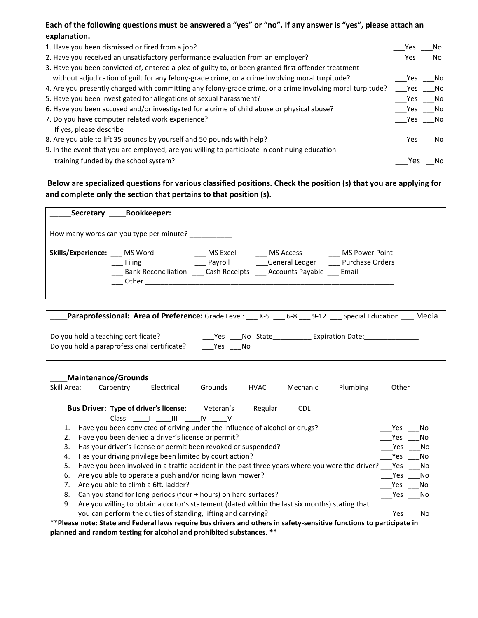# **Each of the following questions must be answered a "yes" or "no". If any answer is "yes", please attach an explanation.**

| 1. Have you been dismissed or fired from a job?                                                            | Yes    | No.  |
|------------------------------------------------------------------------------------------------------------|--------|------|
| 2. Have you received an unsatisfactory performance evaluation from an employer?                            | Yes    | No.  |
| 3. Have you been convicted of, entered a plea of guilty to, or been granted first offender treatment       |        |      |
| without adjudication of guilt for any felony-grade crime, or a crime involving moral turpitude?            | Yes    | No.  |
| 4. Are you presently charged with committing any felony-grade crime, or a crime involving moral turpitude? | Yes    | – No |
| 5. Have you been investigated for allegations of sexual harassment?                                        | Yes    | Mo   |
| 6. Have you been accused and/or investigated for a crime of child abuse or physical abuse?                 | Yes No |      |
| 7. Do you have computer related work experience?                                                           | Yes No |      |
| If yes, please describe                                                                                    |        |      |
| 8. Are you able to lift 35 pounds by yourself and 50 pounds with help?                                     | Yes.   | No   |
| 9. In the event that you are employed, are you willing to participate in continuing education              |        |      |
| training funded by the school system?                                                                      | Yes    | No   |

**Below are specialized questions for various classified positions. Check the position (s) that you are applying for and complete only the section that pertains to that position (s).**

| Secretary                  | <b>Bookkeeper:</b>                                                          |          |           |                                                          |
|----------------------------|-----------------------------------------------------------------------------|----------|-----------|----------------------------------------------------------|
|                            | How many words can you type per minute?                                     |          |           |                                                          |
| Skills/Experience: MS Word | Filing<br>Bank Reconciliation Cash Receipts Accounts Payable Email<br>Other | MS Excel | MS Access | MS Power Point<br>Payroll General Ledger Purchase Orders |

| Paraprofessional: Area of Preference: Grade Level:                                 |                  | K-5      | 6-8 | Media<br>Special Education<br>$9-12$ |  |
|------------------------------------------------------------------------------------|------------------|----------|-----|--------------------------------------|--|
| Do you hold a teaching certificate?<br>Do you hold a paraprofessional certificate? | Yes<br>No<br>Yes | No State |     | <b>Expiration Date:</b>              |  |

| Maintenance/Grounds                                                                                                  |                  |
|----------------------------------------------------------------------------------------------------------------------|------------------|
| Skill Area: ____Carpentry _____Electrical _____Grounds _____HVAC _____Mechanic _____Plumbing                         | Other            |
|                                                                                                                      |                  |
| <b>Bus Driver: Type of driver's license:</b> Veteran's Regular CDL                                                   |                  |
| Class: I III IV V                                                                                                    |                  |
| Have you been convicted of driving under the influence of alcohol or drugs?                                          | No<br>Yes        |
| Have you been denied a driver's license or permit?<br>2.                                                             | No<br>Yes        |
| Has your driver's license or permit been revoked or suspended?<br>3.                                                 | Yes<br>No        |
| Has your driving privilege been limited by court action?<br>4.                                                       | <b>Yes</b><br>No |
| Have you been involved in a traffic accident in the past three years where you were the driver?<br>5.                | Yes<br>No.       |
| Are you able to operate a push and/or riding lawn mower?<br>6.                                                       | Yes<br>No.       |
| Are you able to climb a 6ft. ladder?<br>7.                                                                           | No<br>Yes        |
| Can you stand for long periods (four + hours) on hard surfaces?<br>8.                                                | Yes<br>- No      |
| Are you willing to obtain a doctor's statement (dated within the last six months) stating that<br>9.                 |                  |
| you can perform the duties of standing, lifting and carrying?                                                        | Yes.<br>No.      |
| **Please note: State and Federal laws require bus drivers and others in safety-sensitive functions to participate in |                  |
| planned and random testing for alcohol and prohibited substances. **                                                 |                  |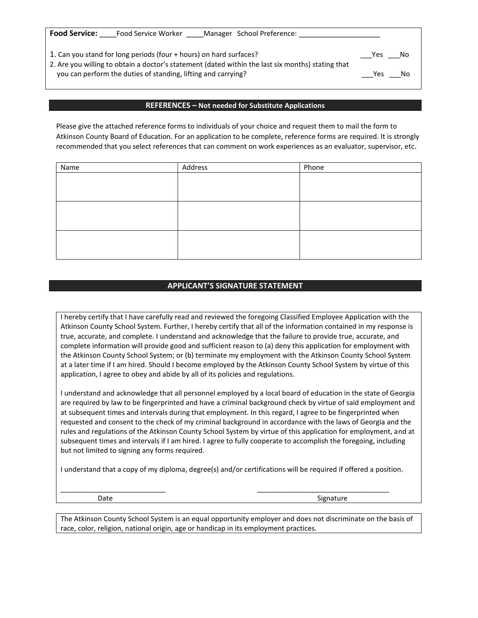| <b>Food Service:</b><br>Food Service Worker<br>Manager School Preference:                                                                                          |     |      |
|--------------------------------------------------------------------------------------------------------------------------------------------------------------------|-----|------|
| 1. Can you stand for long periods (four + hours) on hard surfaces?                                                                                                 | Yes | - No |
| 2. Are you willing to obtain a doctor's statement (dated within the last six months) stating that<br>you can perform the duties of standing, lifting and carrying? | Yes | .No  |

#### **REFERENCES – Not needed for Substitute Applications**

Please give the attached reference forms to individuals of your choice and request them to mail the form to Atkinson County Board of Education. For an application to be complete, reference forms are required. It is strongly recommended that you select references that can comment on work experiences as an evaluator, supervisor, etc.

| Name | Address | Phone |
|------|---------|-------|
|      |         |       |
|      |         |       |
|      |         |       |
|      |         |       |
|      |         |       |
|      |         |       |
|      |         |       |
|      |         |       |
|      |         |       |

#### **APPLICANT'S SIGNATURE STATEMENT**

I hereby certify that I have carefully read and reviewed the foregoing Classified Employee Application with the Atkinson County School System. Further, I hereby certify that all of the information contained in my response is true, accurate, and complete. I understand and acknowledge that the failure to provide true, accurate, and complete information will provide good and sufficient reason to (a) deny this application for employment with the Atkinson County School System; or (b) terminate my employment with the Atkinson County School System at a later time if I am hired. Should I become employed by the Atkinson County School System by virtue of this application, I agree to obey and abide by all of its policies and regulations.

I understand and acknowledge that all personnel employed by a local board of education in the state of Georgia are required by law to be fingerprinted and have a criminal background check by virtue of said employment and at subsequent times and intervals during that employment. In this regard, I agree to be fingerprinted when requested and consent to the check of my criminal background in accordance with the laws of Georgia and the rules and regulations of the Atkinson County School System by virtue of this application for employment, and at subsequent times and intervals if I am hired. I agree to fully cooperate to accomplish the foregoing, including but not limited to signing any forms required.

I understand that a copy of my diploma, degree(s) and/or certifications will be required if offered a position.

 $\frac{1}{2}$  ,  $\frac{1}{2}$  ,  $\frac{1}{2}$  ,  $\frac{1}{2}$  ,  $\frac{1}{2}$  ,  $\frac{1}{2}$  ,  $\frac{1}{2}$  ,  $\frac{1}{2}$  ,  $\frac{1}{2}$  ,  $\frac{1}{2}$  ,  $\frac{1}{2}$  ,  $\frac{1}{2}$  ,  $\frac{1}{2}$  ,  $\frac{1}{2}$  ,  $\frac{1}{2}$  ,  $\frac{1}{2}$  ,  $\frac{1}{2}$  ,  $\frac{1}{2}$  ,  $\frac{1$ 

Date Signature Signature of the Signature of the Signature of the Signature of the Signature of the Signature

The Atkinson County School System is an equal opportunity employer and does not discriminate on the basis of race, color, religion, national origin, age or handicap in its employment practices.